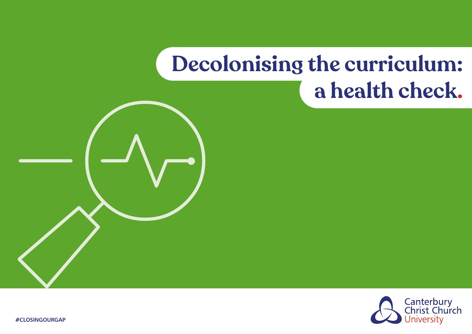

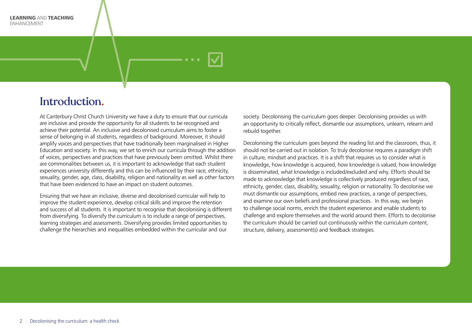#### Introduction.

At Canterbury Christ Church University we have a duty to ensure that our curricula are inclusive and provide the opportunity for all students to be recognised and achieve their potential. An inclusive and decolonised curriculum aims to foster a sense of belonging in all students, regardless of background. Moreover, it should amplify voices and perspectives that have traditionally been marginalised in Higher Education and society. In this way, we set to enrich our curricula through the addition of voices, perspectives and practices that have previously been omitted. Whilst there are commonalities between us, it is important to acknowledge that each student experiences university differently and this can be influenced by their race, ethnicity, sexuality, gender, age, class, disability, religion and nationality as well as other factors that have been evidenced to have an impact on student outcomes.

Ensuring that we have an inclusive, diverse and decolonised curricular will help to improve the student experience, develop critical skills and improve the retention and success of all students. It is important to recognise that decolonising is different from diversifying. To diversify the curriculum is to include a range of perspectives, learning strategies and assessments. Diversifying provides limited opportunities to challenge the hierarchies and inequalities embedded within the curricular and our

society. Decolonising the curriculum goes deeper. Decolonising provides us with an opportunity to critically reflect, dismantle our assumptions, unlearn, relearn and rebuild together.

Decolonising the curriculum goes beyond the reading list and the classroom, thus, it should not be carried out in isolation. To truly decolonise requires a paradigm shift in culture, mindset and practices. It is a shift that requires us to consider what is knowledge, how knowledge is acquired, how knowledge is valued, how knowledge is disseminated, what knowledge is included/excluded and why. Efforts should be made to acknowledge that knowledge is collectively produced regardless of race, ethnicity, gender, class, disability, sexuality, religion or nationality. To decolonise we must dismantle our assumptions, embed new practices, a range of perspectives, and examine our own beliefs and professional practices. In this way, we begin to challenge social norms, enrich the student experience and enable students to challenge and explore themselves and the world around them. Efforts to decolonise the curriculum should be carried out continuously within the curriculum content, structure, delivery, assessment(s) and feedback strategies.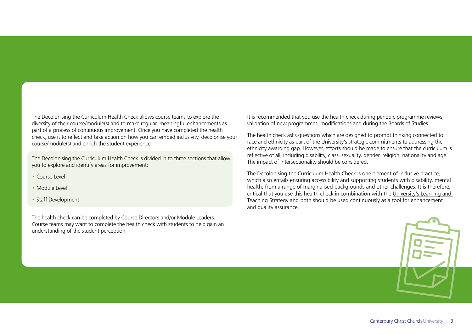The Decolonising the Curriculum Health Check allows course teams to explore the diversity of their course/module(s) and to make regular, meaningful enhancements as part of a process of continuous improvement. Once you have completed the health check, use it to reflect and take action on how you can embed inclusivity, decolonise your course/module(s) and enrich the student experience.

The Decolonising the Curriculum Health Check is divided in to three sections that allow you to explore and identify areas for improvement:

- Course Level
- Module Level
- Staff Development

The health check can be completed by Course Directors and/or Module Leaders. Course teams may want to complete the health check with students to help gain an understanding of the student perception.

It is recommended that you use the health check during periodic programme reviews, validation of new programmes, modifications and during the Boards of Studies.

The health check asks questions which are designed to prompt thinking connected to race and ethnicity as part of the University's strategic commitments to addressing the ethnicity awarding gap. However, efforts should be made to ensure that the curriculum is reflective of all, including disability, class, sexuality, gender, religion, nationality and age. The impact of intersectionality should be considered.

The Decolonising the Curriculum Health Check is one element of inclusive practice, which also entails ensuring accessibility and supporting students with disability, mental health, from a range of marginalised backgrounds and other challenges. It is therefore, critical that you use this health check in combination with the [University's Learning and](https://www.canterbury.ac.uk/learning-and-teaching-enhancement/docs/Learning-and-Teaching-Strategy-2015-2022.pdf)  [Teaching Strategy](https://www.canterbury.ac.uk/learning-and-teaching-enhancement/docs/Learning-and-Teaching-Strategy-2015-2022.pdf) and both should be used continuously as a tool for enhancement and quality assurance.

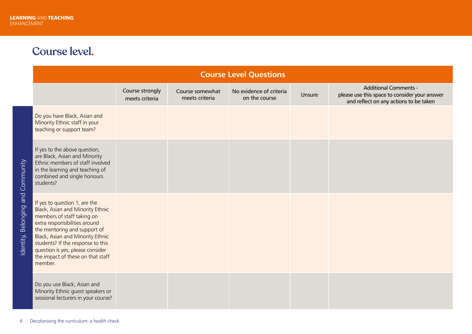# Course level.

|                                   | <b>Course Level Questions</b>                                                                                                                                                                                                                                                                                                 |                                   |                                   |                                          |        |                                                                                                                         |  |  |  |  |  |
|-----------------------------------|-------------------------------------------------------------------------------------------------------------------------------------------------------------------------------------------------------------------------------------------------------------------------------------------------------------------------------|-----------------------------------|-----------------------------------|------------------------------------------|--------|-------------------------------------------------------------------------------------------------------------------------|--|--|--|--|--|
|                                   |                                                                                                                                                                                                                                                                                                                               | Course strongly<br>meets criteria | Course somewhat<br>meets criteria | No evidence of criteria<br>on the course | Unsure | <b>Additional Comments -</b><br>please use this space to consider your answer<br>and reflect on any actions to be taken |  |  |  |  |  |
| Identity, Belonging and Community | Do you have Black, Asian and<br>Minority Ethnic staff in your<br>teaching or support team?                                                                                                                                                                                                                                    |                                   |                                   |                                          |        |                                                                                                                         |  |  |  |  |  |
|                                   | If yes to the above question,<br>are Black, Asian and Minority<br>Ethnic members of staff involved<br>in the learning and teaching of<br>combined and single honours<br>students?                                                                                                                                             |                                   |                                   |                                          |        |                                                                                                                         |  |  |  |  |  |
|                                   | If yes to question 1, are the<br>Black, Asian and Minority Ethnic<br>members of staff taking on<br>extra responsibilities around<br>the mentoring and support of<br>Black, Asian and Minority Ethnic<br>students? If the response to this<br>question is yes, please consider<br>the impact of these on that staff<br>member. |                                   |                                   |                                          |        |                                                                                                                         |  |  |  |  |  |
|                                   | Do you use Black, Asian and<br>Minority Ethnic guest speakers or<br>sessional lecturers in your course?                                                                                                                                                                                                                       |                                   |                                   |                                          |        |                                                                                                                         |  |  |  |  |  |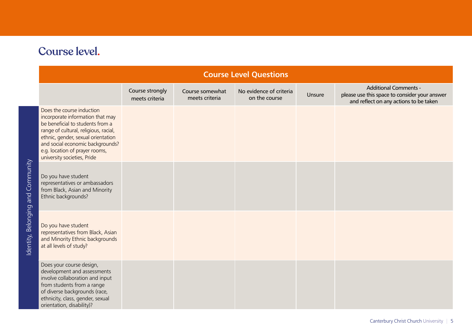| Course level. |  |
|---------------|--|
|               |  |

| <b>Course Level Questions</b>                                                                                                                                                                                                                                                         |                                   |                                   |                                          |        |                                                                                                                         |  |  |  |  |
|---------------------------------------------------------------------------------------------------------------------------------------------------------------------------------------------------------------------------------------------------------------------------------------|-----------------------------------|-----------------------------------|------------------------------------------|--------|-------------------------------------------------------------------------------------------------------------------------|--|--|--|--|
|                                                                                                                                                                                                                                                                                       | Course strongly<br>meets criteria | Course somewhat<br>meets criteria | No evidence of criteria<br>on the course | Unsure | <b>Additional Comments -</b><br>please use this space to consider your answer<br>and reflect on any actions to be taken |  |  |  |  |
| Does the course induction<br>incorporate information that may<br>be beneficial to students from a<br>range of cultural, religious, racial,<br>ethnic, gender, sexual orientation<br>and social economic backgrounds?<br>e.g. location of prayer rooms,<br>university societies, Pride |                                   |                                   |                                          |        |                                                                                                                         |  |  |  |  |
| Do you have student<br>representatives or ambassadors<br>from Black, Asian and Minority<br>Ethnic backgrounds?                                                                                                                                                                        |                                   |                                   |                                          |        |                                                                                                                         |  |  |  |  |
| Do you have student<br>representatives from Black, Asian<br>and Minority Ethnic backgrounds<br>at all levels of study?                                                                                                                                                                |                                   |                                   |                                          |        |                                                                                                                         |  |  |  |  |
| Does your course design,<br>development and assessments<br>involve collaboration and input<br>from students from a range<br>of diverse backgrounds (race,<br>ethnicity, class, gender, sexual<br>orientation, disability)?                                                            |                                   |                                   |                                          |        |                                                                                                                         |  |  |  |  |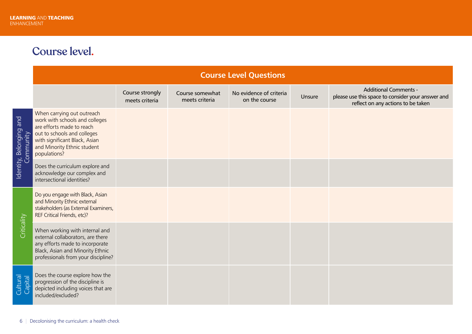## Course level.

|                         | <b>Course Level Questions</b>                                                                                                                                                                            |                                   |                                   |                                          |        |                                                                                                                         |  |  |  |  |
|-------------------------|----------------------------------------------------------------------------------------------------------------------------------------------------------------------------------------------------------|-----------------------------------|-----------------------------------|------------------------------------------|--------|-------------------------------------------------------------------------------------------------------------------------|--|--|--|--|
|                         |                                                                                                                                                                                                          | Course strongly<br>meets criteria | Course somewhat<br>meets criteria | No evidence of criteria<br>on the course | Unsure | <b>Additional Comments -</b><br>please use this space to consider your answer and<br>reflect on any actions to be taken |  |  |  |  |
| Identity, Belonging and | When carrying out outreach<br>work with schools and colleges<br>are efforts made to reach<br>out to schools and colleges<br>with significant Black, Asian<br>and Minority Ethnic student<br>populations? |                                   |                                   |                                          |        |                                                                                                                         |  |  |  |  |
|                         | Does the curriculum explore and<br>acknowledge our complex and<br>intersectional identities?                                                                                                             |                                   |                                   |                                          |        |                                                                                                                         |  |  |  |  |
| Criticality             | Do you engage with Black, Asian<br>and Minority Ethnic external<br>stakeholders (as External Examiners,<br>REF Critical Friends, etc)?                                                                   |                                   |                                   |                                          |        |                                                                                                                         |  |  |  |  |
|                         | When working with internal and<br>external collaborators, are there<br>any efforts made to incorporate<br>Black, Asian and Minority Ethnic<br>professionals from your discipline?                        |                                   |                                   |                                          |        |                                                                                                                         |  |  |  |  |
| Cultural<br>Capital     | Does the course explore how the<br>progression of the discipline is<br>depicted including voices that are<br>included/excluded?                                                                          |                                   |                                   |                                          |        |                                                                                                                         |  |  |  |  |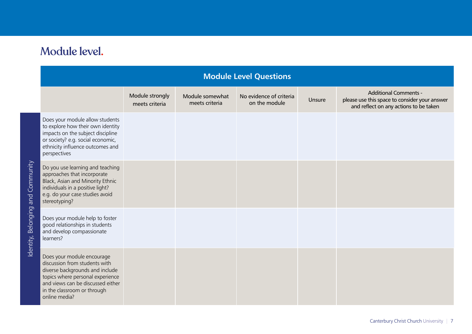# Module level.

| <b>Module Level Questions</b>        |                                                                                                                                                                                                                         |                                   |                                   |                                          |        |                                                                                                                         |  |  |
|--------------------------------------|-------------------------------------------------------------------------------------------------------------------------------------------------------------------------------------------------------------------------|-----------------------------------|-----------------------------------|------------------------------------------|--------|-------------------------------------------------------------------------------------------------------------------------|--|--|
|                                      |                                                                                                                                                                                                                         | Module strongly<br>meets criteria | Module somewhat<br>meets criteria | No evidence of criteria<br>on the module | Unsure | <b>Additional Comments -</b><br>please use this space to consider your answer<br>and reflect on any actions to be taken |  |  |
| Community<br>Identity, Belonging and | Does your module allow students<br>to explore how their own identity<br>impacts on the subject discipline<br>or society? e.g. social economic,<br>ethnicity influence outcomes and<br>perspectives                      |                                   |                                   |                                          |        |                                                                                                                         |  |  |
|                                      | Do you use learning and teaching<br>approaches that incorporate<br>Black, Asian and Minority Ethnic<br>individuals in a positive light?<br>e.g. do your case studies avoid<br>stereotyping?                             |                                   |                                   |                                          |        |                                                                                                                         |  |  |
|                                      | Does your module help to foster<br>good relationships in students<br>and develop compassionate<br>learners?                                                                                                             |                                   |                                   |                                          |        |                                                                                                                         |  |  |
|                                      | Does your module encourage<br>discussion from students with<br>diverse backgrounds and include<br>topics where personal experience<br>and views can be discussed either<br>in the classroom or through<br>online media? |                                   |                                   |                                          |        |                                                                                                                         |  |  |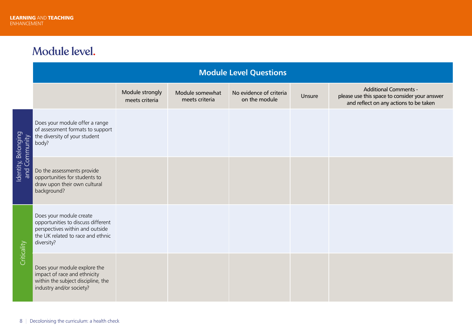## Module level.

|                                      | <b>Module Level Questions</b>                                                                                                                       |                                   |                                   |                                          |        |                                                                                                                         |  |  |  |  |
|--------------------------------------|-----------------------------------------------------------------------------------------------------------------------------------------------------|-----------------------------------|-----------------------------------|------------------------------------------|--------|-------------------------------------------------------------------------------------------------------------------------|--|--|--|--|
|                                      |                                                                                                                                                     | Module strongly<br>meets criteria | Module somewhat<br>meets criteria | No evidence of criteria<br>on the module | Unsure | <b>Additional Comments -</b><br>please use this space to consider your answer<br>and reflect on any actions to be taken |  |  |  |  |
|                                      | Does your module offer a range<br>of assessment formats to support<br>the diversity of your student<br>body?                                        |                                   |                                   |                                          |        |                                                                                                                         |  |  |  |  |
| Identity, Belonging<br>and Community | Do the assessments provide<br>opportunities for students to<br>draw upon their own cultural<br>background?                                          |                                   |                                   |                                          |        |                                                                                                                         |  |  |  |  |
| Criticality                          | Does your module create<br>opportunities to discuss different<br>perspectives within and outside<br>the UK related to race and ethnic<br>diversity? |                                   |                                   |                                          |        |                                                                                                                         |  |  |  |  |
|                                      | Does your module explore the<br>impact of race and ethnicity<br>within the subject discipline, the<br>industry and/or society?                      |                                   |                                   |                                          |        |                                                                                                                         |  |  |  |  |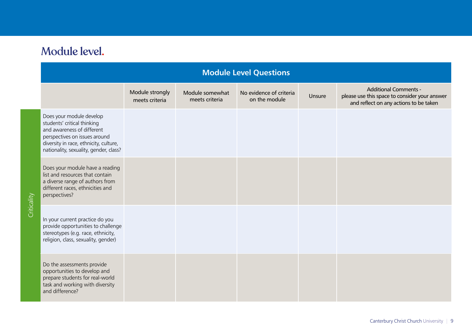| Module level. |  |  |  |
|---------------|--|--|--|
|---------------|--|--|--|

|             | <b>Module Level Questions</b>                                                                                                                                                                              |                                   |                                   |                                          |        |                                                                                                                         |  |  |  |  |
|-------------|------------------------------------------------------------------------------------------------------------------------------------------------------------------------------------------------------------|-----------------------------------|-----------------------------------|------------------------------------------|--------|-------------------------------------------------------------------------------------------------------------------------|--|--|--|--|
|             |                                                                                                                                                                                                            | Module strongly<br>meets criteria | Module somewhat<br>meets criteria | No evidence of criteria<br>on the module | Unsure | <b>Additional Comments -</b><br>please use this space to consider your answer<br>and reflect on any actions to be taken |  |  |  |  |
| Criticality | Does your module develop<br>students' critical thinking<br>and awareness of different<br>perspectives on issues around<br>diversity in race, ethnicity, culture,<br>nationality, sexuality, gender, class? |                                   |                                   |                                          |        |                                                                                                                         |  |  |  |  |
|             | Does your module have a reading<br>list and resources that contain<br>a diverse range of authors from<br>different races, ethnicities and<br>perspectives?                                                 |                                   |                                   |                                          |        |                                                                                                                         |  |  |  |  |
|             | In your current practice do you<br>provide opportunities to challenge<br>stereotypes (e.g. race, ethnicity,<br>religion, class, sexuality, gender)                                                         |                                   |                                   |                                          |        |                                                                                                                         |  |  |  |  |
|             | Do the assessments provide<br>opportunities to develop and<br>prepare students for real-world<br>task and working with diversity<br>and difference?                                                        |                                   |                                   |                                          |        |                                                                                                                         |  |  |  |  |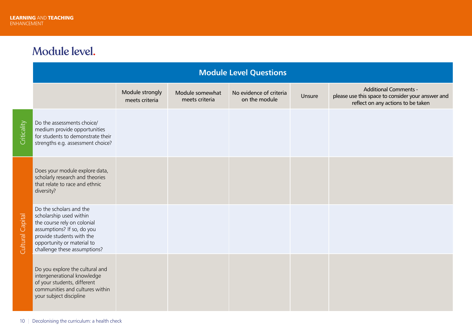## Module level.

| <b>Module Level Questions</b> |                                                                                                                                                                                                            |                                   |                                   |                                          |        |                                                                                                                         |  |  |
|-------------------------------|------------------------------------------------------------------------------------------------------------------------------------------------------------------------------------------------------------|-----------------------------------|-----------------------------------|------------------------------------------|--------|-------------------------------------------------------------------------------------------------------------------------|--|--|
|                               |                                                                                                                                                                                                            | Module strongly<br>meets criteria | Module somewhat<br>meets criteria | No evidence of criteria<br>on the module | Unsure | <b>Additional Comments -</b><br>please use this space to consider your answer and<br>reflect on any actions to be taken |  |  |
| Criticality                   | Do the assessments choice/<br>medium provide opportunities<br>for students to demonstrate their<br>strengths e.g. assessment choice?                                                                       |                                   |                                   |                                          |        |                                                                                                                         |  |  |
| Capital<br>Cultural           | Does your module explore data,<br>scholarly research and theories<br>that relate to race and ethnic<br>diversity?                                                                                          |                                   |                                   |                                          |        |                                                                                                                         |  |  |
|                               | Do the scholars and the<br>scholarship used within<br>the course rely on colonial<br>assumptions? If so, do you<br>provide students with the<br>opportunity or material to<br>challenge these assumptions? |                                   |                                   |                                          |        |                                                                                                                         |  |  |
|                               | Do you explore the cultural and<br>intergenerational knowledge<br>of your students, different<br>communities and cultures within<br>your subject discipline                                                |                                   |                                   |                                          |        |                                                                                                                         |  |  |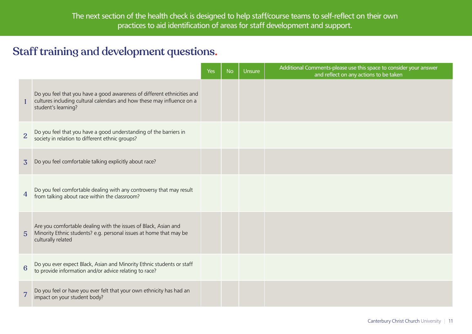#### Staff training and development questions.

|                 |                                                                                                                                                                          | <b>Yes</b> | <b>No</b> | <b>Unsure</b> | Additional Comments-please use this space to consider your answer<br>and reflect on any actions to be taken |
|-----------------|--------------------------------------------------------------------------------------------------------------------------------------------------------------------------|------------|-----------|---------------|-------------------------------------------------------------------------------------------------------------|
| 1               | Do you feel that you have a good awareness of different ethnicities and<br>cultures including cultural calendars and how these may influence on a<br>student's learning? |            |           |               |                                                                                                             |
| 2               | Do you feel that you have a good understanding of the barriers in<br>society in relation to different ethnic groups?                                                     |            |           |               |                                                                                                             |
| $\overline{3}$  | Do you feel comfortable talking explicitly about race?                                                                                                                   |            |           |               |                                                                                                             |
|                 | Do you feel comfortable dealing with any controversy that may result from talking about race within the classroom?                                                       |            |           |               |                                                                                                             |
| $5\overline{)}$ | Are you comfortable dealing with the issues of Black, Asian and<br>Minority Ethnic students? e.g. personal issues at home that may be<br>culturally related              |            |           |               |                                                                                                             |
| $6\phantom{1}6$ | Do you ever expect Black, Asian and Minority Ethnic students or staff<br>to provide information and/or advice relating to race?                                          |            |           |               |                                                                                                             |
| $\overline{7}$  | Do you feel or have you ever felt that your own ethnicity has had an<br>impact on your student body?                                                                     |            |           |               |                                                                                                             |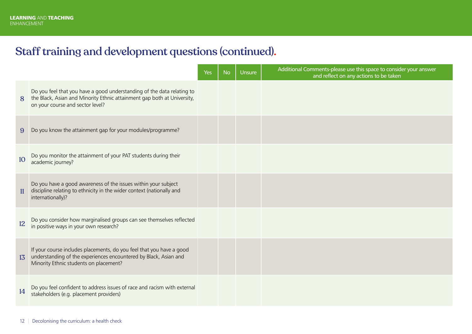## Staff training and development questions (continued).

|                 |                                                                                                                                                                                       | Yes | <b>No</b> | Unsure | Additional Comments-please use this space to consider your answer<br>and reflect on any actions to be taken |
|-----------------|---------------------------------------------------------------------------------------------------------------------------------------------------------------------------------------|-----|-----------|--------|-------------------------------------------------------------------------------------------------------------|
| 8               | Do you feel that you have a good understanding of the data relating to<br>the Black, Asian and Minority Ethnic attainment gap both at University,<br>on your course and sector level? |     |           |        |                                                                                                             |
| 9               | Do you know the attainment gap for your modules/programme?                                                                                                                            |     |           |        |                                                                                                             |
| 10              | Do you monitor the attainment of your PAT students during their<br>academic journey?                                                                                                  |     |           |        |                                                                                                             |
| 11              | Do you have a good awareness of the issues within your subject<br>discipline relating to ethnicity in the wider context (nationally and<br>internationally)?                          |     |           |        |                                                                                                             |
| 12              | Do you consider how marginalised groups can see themselves reflected<br>in positive ways in your own research?                                                                        |     |           |        |                                                                                                             |
| 13 <sup>5</sup> | If your course includes placements, do you feel that you have a good<br>understanding of the experiences encountered by Black, Asian and<br>Minority Ethnic students on placement?    |     |           |        |                                                                                                             |
| 14              | Do you feel confident to address issues of race and racism with external<br>stakeholders (e.g. placement providers)                                                                   |     |           |        |                                                                                                             |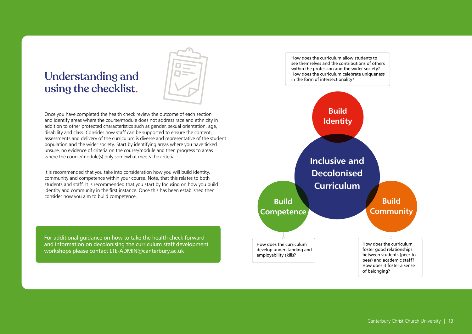#### Understanding and using the checklist.



Once you have completed the health check review the outcome of each section and identify areas where the course/module does not address race and ethnicity in addition to other protected characteristics such as gender, sexual orientation, age, disability and class. Consider how staff can be supported to ensure the content, assessments and delivery of the curriculum is diverse and representative of the student population and the wider society. Start by identifying areas where you have ticked unsure, no evidence of criteria on the course/module and then progress to areas where the course/module(s) only somewhat meets the criteria.

It is recommended that you take into consideration how you will build identity, community and competence within your course. Note, that this relates to both students and staff. It is recommended that you start by focusing on how you build identity and community in the first instance. Once this has been established then consider how you aim to build competence.

For additional guidance on how to take the health check forward and information on decolonising the curriculum staff development workshops please contact LTE-ADMIN@canterbury.ac.uk

How does the curriculum allow students to see themselves and the contributions of others within the profession and the wider society? How does the curriculum celebrate uniqueness in the form of intersectionality?

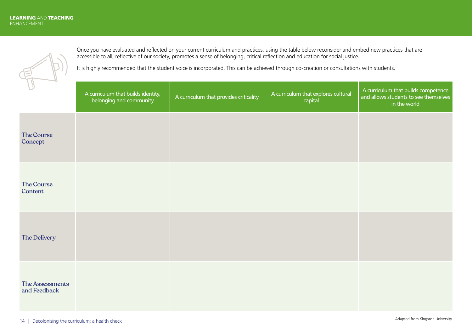

Once you have evaluated and reflected on your current curriculum and practices, using the table below reconsider and embed new practices that are accessible to all, reflective of our society, promotes a sense of belonging, critical reflection and education for social justice.

It is highly recommended that the student voice is incorporated. This can be achieved through co-creation or consultations with students.

| $\mathcal{A}$                   | A curriculum that builds identity,<br>belonging and community | A curriculum that provides criticality | A curriculum that explores cultural<br>capital | A curriculum that builds competence<br>and allows students to see themselves<br>in the world |
|---------------------------------|---------------------------------------------------------------|----------------------------------------|------------------------------------------------|----------------------------------------------------------------------------------------------|
| The Course<br>Concept           |                                                               |                                        |                                                |                                                                                              |
| The Course<br>Content           |                                                               |                                        |                                                |                                                                                              |
| The Delivery                    |                                                               |                                        |                                                |                                                                                              |
| The Assessments<br>and Feedback |                                                               |                                        |                                                |                                                                                              |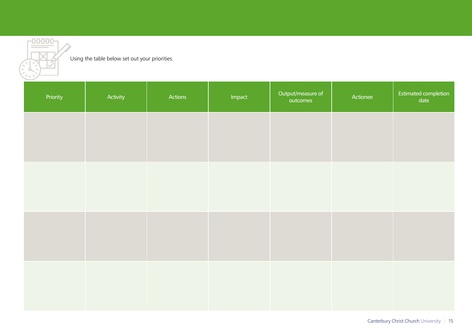

#### Using the table below set out your priorities.

| Priority | Activity | Actions | Impact | Output/measure of<br>outcomes | Actionee | Estimated completion<br>date |
|----------|----------|---------|--------|-------------------------------|----------|------------------------------|
|          |          |         |        |                               |          |                              |
|          |          |         |        |                               |          |                              |
|          |          |         |        |                               |          |                              |
|          |          |         |        |                               |          |                              |
|          |          |         |        |                               |          |                              |
|          |          |         |        |                               |          |                              |
|          |          |         |        |                               |          |                              |
|          |          |         |        |                               |          |                              |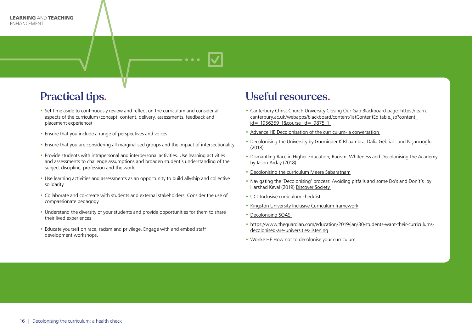

## Practical tips.

- Set time aside to continuously review and reflect on the curriculum and consider all aspects of the curriculum (concept, content, delivery, assessments, feedback and placement experience)
- Ensure that you include a range of perspectives and voices
- Ensure that you are considering all marginalised groups and the impact of intersectionality
- Provide students with intrapersonal and interpersonal activities. Use learning activities and assessments to challenge assumptions and broaden student's understanding of the subject discipline, profession and the world
- Use learning activities and assessments as an opportunity to build allyship and collective solidarity
- Collaborate and co-create with students and external stakeholders. Consider the use of [compassionate pedagogy](https://learn.canterbury.ac.uk/webapps/blackboard/content/listContent.jsp?course_id=_15888_1&content_id=_2856657_1)
- Understand the diversity of your students and provide opportunities for them to share their lived experiences
- Educate yourself on race, racism and privilege. Engage with and embed staff development workshops.

#### Useful resources.

- Canterbury Christ Church University Closing Our Gap Blackboard page: [https://learn.](https://learn.canterbury.ac.uk/webapps/blackboard/content/listContentEditable.jsp?content_id=_1956359_1&course_id=_9875_1) [canterbury.ac.uk/webapps/blackboard/content/listContentEditable.jsp?content\\_](https://learn.canterbury.ac.uk/webapps/blackboard/content/listContentEditable.jsp?content_id=_1956359_1&course_id=_9875_1) id= 1956359 1&course id= 9875 1
- [Advance HE Decolonisation of the curriculum- a conversation](https://www.advance-he.ac.uk/news-and-views/decolonisation-curriculum-conversation#:~:text=Enable%20students%20to%20see%20themselves,a%20global%20and%20diverse%20world)
- Decolonising the University by Gurminder K Bhaambra, Dalia Gebrial and Nişancıoğlu (2018)
- Dismantling Race in Higher Education; Racism, Whiteness and Decolonising the Academy by Jason Arday (2018)
- [Decolonising the curriculum Meera Sabaratnam](https://learningonscreen.ac.uk/ondemand/index.php/clip/143532)
- Navigating the 'Decolonising' process: Avoiding pitfalls and some Do's and Don't's by Harshad Keval (2019) [Discover Society](https://discoversociety.org/2019/02/06/navigating-the-decolonising-process-avoiding-pitfalls-and-some-dos-and-donts/)
- [UCL Inclusive curriculum checklist](https://www.ucl.ac.uk/teaching-learning/sites/teaching-learning/files/ucl_inclusive_curriculum_healthcheck_2018.pdf)
- [Kingston University Inclusive Curriculum framework](https://www.kingston.ac.uk/aboutkingstonuniversity/equality-diversity-and-inclusion/our-inclusive-curriculum/inclusive-curriculum-framework/)
- Decolonising SOAS
- [https://www.theguardian.com/education/2019/jan/30/students-want-their-curriculums](https://www.theguardian.com/education/2019/jan/30/students-want-their-curriculums-decolonised-are-universities-listening)[decolonised-are-universities-listening](https://www.theguardian.com/education/2019/jan/30/students-want-their-curriculums-decolonised-are-universities-listening)
- [Wonke HE How not to decolonise your curriculum](https://wonkhe.com/blogs/how-not-to-decolonise-your-curriculum/)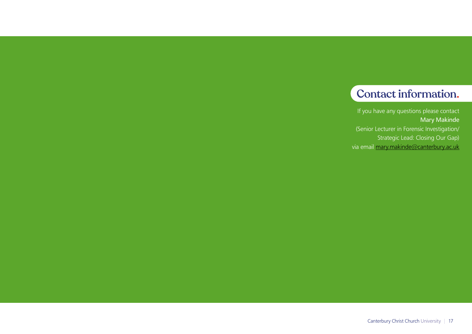#### Contact information.

If you have any questions please contact Mary Makinde (Senior Lecturer in Forensic Investigation/ Strategic Lead: Closing Our Gap) via email [mary.makinde@canterbury.ac.uk](mailto:mary.makinde@canterbury.ac.uk  )